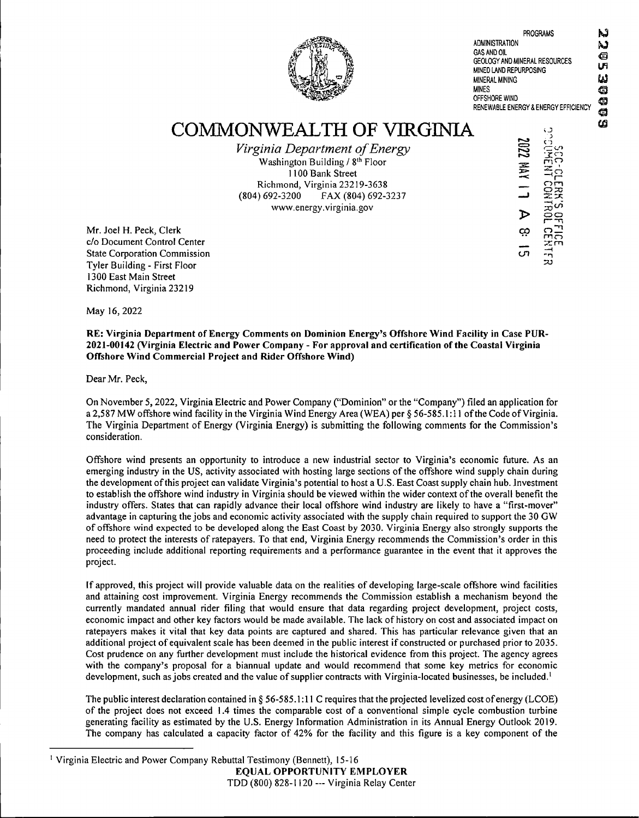

**PROGRAMS ADMINISTRATION GAS AND OIL GEOLOGY AND MINERAL RESOURCES MINED LAND REPURPOSING MINERAL MINING MINES OFFSHORE WIND RENEWABLE ENERGY & ENERGY EFFICIENCY**

IJ G **in G G a**

Ŋ

COMMONWEALTH OF VIRGINIA

*Virginia Department ofEnergy* Washington Building / 8<sup>th</sup> Floor 1100 Bank Street Richmond, Virginia 23219-3638 (804) 692-3200 FAX (804) 692-3237 www.energy.virginia.gov

*■Z. '* cn  $\triangleright$ *o?* co r-o  $\mathbb{R}^2$ om -cn ooI---- <sup>q</sup>  $\Xi$ **u o**

Mr. Joel H. Peck, Clerk c/o Document Control Center State Corporation Commission Tyler Building - First Floor 1300 East Main Street Richmond, Virginia 23219

May 16, 2022

**RE: Virginia Department ofEnergy Comments on Dominion Energy's Offshore Wind Facility in Case PUR-2021-00142 (Virginia Electric and Power Company - For approval and certification ofthe Coastal Virginia Offshore Wind Commercial Project and Rider Offshore Wind)**

Dear Mr. Peck,

On November 5,2022, Virginia Electric and Power Company ("Dominion" orthe "Company") filed an application for a 2,587 MW offshore wind facility in the Virginia Wind Energy Area (WEA) per § 56-585.1:11 ofthe Code ofVirginia. The Virginia Department of Energy (Virginia Energy) is submitting the following comments for the Commission's consideration.

Offshore wind presents an opportunity to introduce a new industrial sector to Virginia's economic future. As an emerging industry in the US, activity associated with hosting large sections ofthe offshore wind supply chain during the development ofthis project can validate Virginia's potential to host a U.S. East Coast supply chain hub. Investment to establish the offshore wind industry in Virginia should be viewed within the wider context ofthe overall benefit the industry offers. States that can rapidly advance their local offshore wind industry are likely to have a "first-mover" advantage in capturing the jobs and economic activity associated with the supply chain required to support the 30 GW of offshore wind expected to be developed along the East Coast by 2030. Virginia Energy also strongly supports the need to protect the interests of ratepayers. To that end, Virginia Energy recommends the Commission's order in this proceeding include additional reporting requirements and a performance guarantee in the event that it approves the project.

If approved, this project will provide valuable data on the realities of developing large-scale offshore wind facilities and attaining cost improvement. Virginia Energy recommends the Commission establish a mechanism beyond the currently mandated annual rider filing that would ensure that data regarding project development, project costs, economic impact and other key factors would be made available. The lack of history on cost and associated impact on ratepayers makes it vital that key data points are captured and shared. This has particular relevance given that an additional project ofequivalent scale has been deemed in the public interest ifconstructed or purchased prior to 2035. Cost prudence on any further development must include the historical evidence from this project. The agency agrees with the company's proposal for a biannual update and would recommend that some key metrics for economic development, such as jobs created and the value of supplier contracts with Virginia-located businesses, be included.<sup>1</sup>

The public interest declaration contained in § 56-585.1:11 C requires that the projected levelized cost ofenergy (LCOE) of the project does not exceed 1.4 times the comparable cost of a conventional simple cycle combustion turbine generating facility as estimated by the U.S. Energy Information Administration in its Annual Energy Outlook 2019. The company has calculated a capacity factor of 42% for the facility and this figure is a key component of the

**EQUAL OPPORTUNITY EMPLOYER** TDD (800) 828-1120 — Virginia Relay Center

<sup>&</sup>lt;sup>1</sup> Virginia Electric and Power Company Rebuttal Testimony (Bennett), 15-16